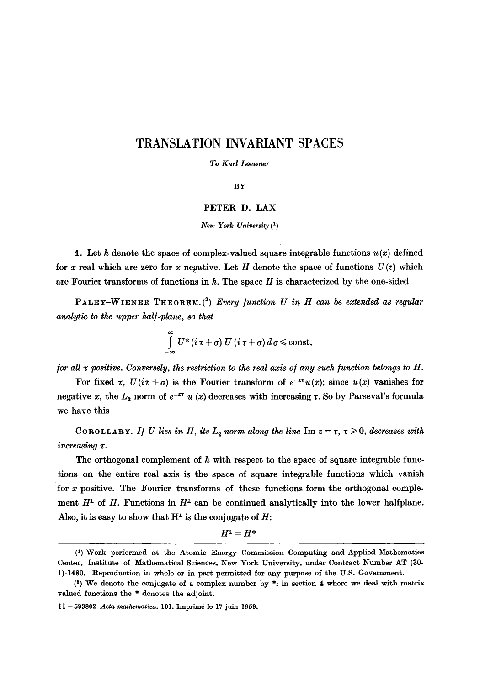# **TRANSLATION INVARIANT SPACES**

*To Karl Loewner* 

**BY** 

#### PETER D. LAX

#### *New York University(1)*

1. Let h denote the space of complex-valued square integrable functions  $u(x)$  defined for x real which are zero for x negative. Let H denote the space of functions  $U(z)$  which are Fourier transforms of functions in  $h$ . The space  $H$  is characterized by the one-sided

PALEY-WIENER THEOREM.<sup>(2)</sup> Every *function U in H can be extended as regular analytic to the upper hal/-plane, so that* 

$$
\int_{-\infty}^{\infty} U^*(i\,\tau+\sigma)\,U(i\,\tau+\sigma)\,d\,\sigma\leqslant \mathrm{const},
$$

*for all*  $\tau$  *positive. Conversely, the restriction to the real axis of any such function belongs to H.* 

For fixed  $\tau$ ,  $U(i\tau + \sigma)$  is the Fourier transform of  $e^{-\tau t}u(x)$ ; since  $u(x)$  vanishes for negative x, the  $L_2$  norm of  $e^{-x\tau}$  u (x) decreases with increasing  $\tau$ . So by Parseval's formula we have this

COROLLARY. If U lies in H, its  $L_2$  norm along the line  $\text{Im } z = \tau, \tau \geq 0$ , decreases with *increasing T.* 

The orthogonal complement of  $h$  with respect to the space of square integrable functions on the entire real axis is the space of square integrable functions which vanish for x positive. The Fourier transforms of these functions form the orthogonal complement  $H^1$  of H. Functions in  $H^1$  can be continued analytically into the lower halfplane. Also, it is easy to show that  $H^{\perp}$  is the conjugate of  $H$ :

$$
H^\perp = H^*
$$

<sup>(1)</sup> Work performed at the Atomic Energy Commission Computing and Applied Mathematics Center, Institute of Mathematical Sciences, New York University, under Contract Number AT (30. 1)-1480. Reproduction in whole or in part permitted for any purpose of the U.S. Government.

 $(3)$  We denote the conjugate of a complex number by  $*$ ; in section 4 where we deal with matrix valued functions the \* denotes the adjoint.

<sup>11-</sup> **593802** *Aeta mathematica.* **101. ][mprim6 le 17 juin 1959.**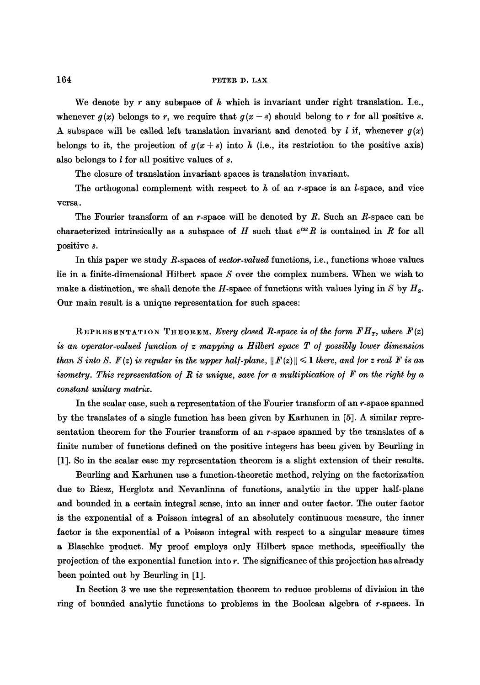We denote by r any subspace of  $h$  which is invariant under right translation. I.e., whenever  $g(x)$  belongs to r, we require that  $g(x - s)$  should belong to r for all positive s. A subspace will be called left translation invariant and denoted by  $l$  if, whenever  $g(x)$ belongs to it, the projection of  $g(x + s)$  into h (i.e., its restriction to the positive axis) also belongs to  $l$  for all positive values of  $s$ .

The closure of translation invariant spaces is translation invariant.

The orthogonal complement with respect to  $h$  of an r-space is an *l*-space, and vice versa.

The Fourier transform of an r-space will be denoted by  $R$ . Such an  $R$ -space can be characterized intrinsically as a subspace of H such that  $e^{isz}R$  is contained in R for all positive s.

In this paper we study R-spaces of *vector.valued* functions, i.e., functions whose values lie in a finite-dimensional Hilbert space  $S$  over the complex numbers. When we wish to make a distinction, we shall denote the  $H$ -space of functions with values lying in  $S$  by  $H_S$ . Our main result is a unique representation for such spaces:

REPRESENTATION THEOREM. *Every closed R-space is of the form*  $FH_T$ *, where*  $F(z)$ *is an operator-valued function of z mapping a Hilbert space T of possibly lower dimension than S into S. F(z) is regular in the upper half-plane,*  $||F(z)|| \le 1$  *there, and for z real F is an isometry. This representation of R is unique, save for a multiplication of F on the right by a constant unitary matrix.* 

In the scalar case, such a representation of the Fourier transform of an r-space spanned by the translates of a single function has been given by Karhunen in [5]. A similar representation theorem for the Fourier transform of an r-space spanned by the translates of a finite number of functions defined on the positive integers has been given by Beurling in [1]. So in the scalar ease my representation theorem is a slight extension of their results.

Beurling and Karhunen use a function-theoretic method, relying on the factorization due to Riesz, Herglotz and Nevanlinna of functions, analytic in the upper half-plane and bounded in a certain integral sense, into an inner and outer factor. The outer factor is the exponential of a Poisson integral of an absolutely continuous measure, the inner factor is the exponential of a Poisson integral with respect to a singular measure times a Blaschke product. My proof employs only Hilbert space methods, specifically the projection of the exponential function into  $r$ . The significance of this projection has already been pointed out by Beurling in [1].

In Section 3 we use the representation theorem to reduce problems of division in the ring of bounded analytic functions to problems in the Boolean algebra of r-spaces. In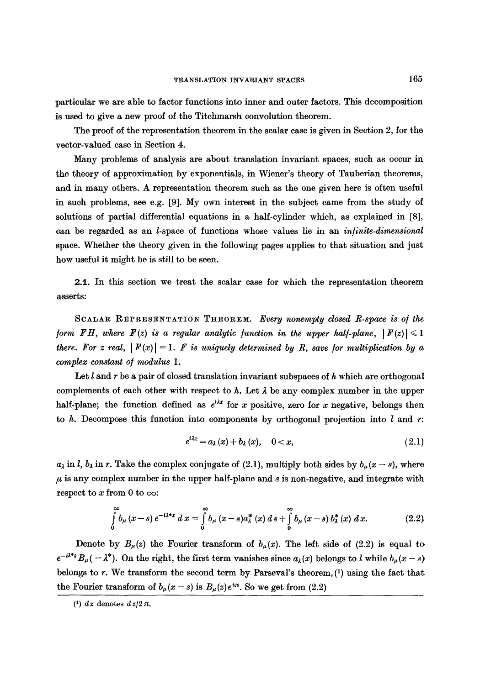particular we are able to factor functions into inner and outer factors. This decomposition is used to give a new proof of the Titchmarsh convolution theorem.

The proof of the representation theorem in the scalar case is given in Section 2, for the vector-valued case in Section 4.

Many problems of analysis are about translation invariant spaces, such as occur in the theory of approximation by exponentials, in Wiener's theory of Tauberian theorems, and in many others. A representation theorem such as the one given here is often useful in such problems, see e.g. [9]. My own interest in the subject came from the study of solutions of partial differential equations in a half-cylinder which, as explained in [8], can be regarded as an /-space of functions whose values lie in an *infinite-dimensional*  space. Whether the theory given in the following pages applies to that situation and just how useful it might be is still to be seen.

**2.1.** In this section we treat the scalar case for which the representation theorem asserts:

SCALAR REPRESENTATION THEOREM. *Every nonempty closed R-space i8 o/the form FH, where F(z) is a regular analytic function in the upper half-plane,*  $|F(z)| \leq 1$ *there. For z real,*  $|F(x)| = 1$ . F *is uniquely determined by R, save for multiplication by a*  $complex\ constant\ of\ modulus\ 1.$ 

Let  $l$  and  $r$  be a pair of closed translation invariant subspaces of  $h$  which are orthogonal complements of each other with respect to  $h$ . Let  $\lambda$  be any complex number in the upper half-plane; the function defined as  $e^{i\lambda x}$  for x positive, zero for x negative, belongs then to  $h$ . Decompose this function into components by orthogonal projection into  $l$  and  $r$ :

$$
e^{i\lambda x} = a_{\lambda}(x) + b_{\lambda}(x), \quad 0 < x,\tag{2.1}
$$

 $a_{\lambda}$  in *l, b<sub>i</sub>* in *r*. Take the complex conjugate of (2.1), multiply both sides by  $b_{\mu}(x - s)$ , where  $\mu$  is any complex number in the upper half-plane and s is non-negative, and integrate with respect to x from 0 to  $\infty$ :

$$
\int_{0}^{\infty} b_{\mu} (x-s) e^{-i\lambda^{*}x} dx = \int_{0}^{\infty} b_{\mu} (x-s) a_{\lambda}^{*} (x) ds + \int_{0}^{\infty} b_{\mu} (x-s) b_{\lambda}^{*} (x) dx.
$$
 (2.2)

Denote by  $B_{\mu}(z)$  the Fourier transform of  $b_{\mu}(x)$ . The left side of (2.2) is equal to  $e^{-i\lambda^*s}B_\mu(-\lambda^*)$ . On the right, the first term vanishes since  $a_\lambda(x)$  belongs to l while  $b_\mu(x-s)$ belongs to  $r$ . We transform the second term by Parseval's theorem,  $(1)$  using the fact that. the Fourier transform of  $b_{\mu}(x - s)$  is  $B_{\mu}(z)e^{isz}$ . So we get from (2.2)

*<sup>(1)</sup> dz* denotes  $dz/2\pi$ .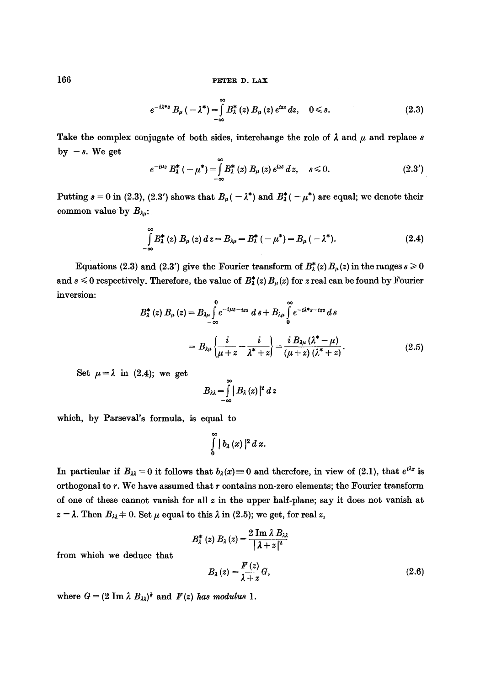$$
e^{-i\lambda^{*} s} B_{\mu}(-\lambda^{*}) = \int_{-\infty}^{\infty} B_{\lambda}^{*}(z) B_{\mu}(z) e^{izs} dz, \quad 0 \leq s.
$$
 (2.3)

Take the complex conjugate of both sides, interchange the role of  $\lambda$  and  $\mu$  and replace  $\delta$ by  $-s$ . We get

$$
e^{-i\mu s} B_{\lambda}^{*}(-\mu^{*}) = \int_{-\infty}^{\infty} B_{\lambda}^{*}(z) B_{\mu}(z) e^{i s} dz, \quad s \leq 0.
$$
 (2.3')

Putting  $s = 0$  in (2.3), (2.3') shows that  $B_{\mu}(-\lambda^*)$  and  $B_{\lambda}^*(-\mu^*)$  are equal; we denote their common value by  $B_{\lambda\mu}$ :

$$
\int_{-\infty}^{\infty} B_{\lambda}^{*}(z) B_{\mu}(z) dz = B_{\lambda\mu} = B_{\lambda}^{*}(-\mu^{*}) = B_{\mu}(-\lambda^{*}).
$$
\n(2.4)

Equations (2.3) and (2.3') give the Fourier transform of  $B_{\lambda}^{*}(z) B_{\mu}(z)$  in the ranges  $s \geq 0$ and  $s \leq 0$  respectively. Therefore, the value of  $B_{\lambda}^{*}(z) B_{\mu}(z)$  for z real can be found by Fourier inversion:

$$
B_{\lambda}^{*}\left(z\right)B_{\mu}\left(z\right) = B_{\lambda\mu}\int_{-\infty}^{0}e^{-i\mu s - izs} d s + B_{\lambda\mu}\int_{0}^{\infty}e^{-i\lambda^{*} s - izs} d s
$$
  
= 
$$
B_{\lambda\mu}\left\{\frac{i}{\mu+z} - \frac{i}{\lambda^{*}+z}\right\} = \frac{i B_{\lambda\mu}\left(\lambda^{*} - \mu\right)}{\left(\mu+z\right)\left(\lambda^{*}+z\right)}.
$$
 (2.5)

Set  $\mu = \lambda$  in (2.4); we get

$$
B_{\lambda\lambda}=\int\limits_{-\infty}^{\infty}|B_{\lambda}(z)|^{2}\,dz
$$

which, by Parseval's formula, is equal to

$$
\int\limits_{0}^{\infty}|\,b_{\lambda}\left(x\right)|^{2}\,d\,x.
$$

In particular if  $B_{\lambda\lambda} = 0$  it follows that  $b_{\lambda}(x) \equiv 0$  and therefore, in view of (2.1), that  $e^{i\lambda x}$  is orthogonal to  $r$ . We have assumed that  $r$  contains non-zero elements; the Fourier transform of one of these cannot vanish for all z in the upper half-plane; say it does not vanish at  $z = \lambda$ . Then  $B_{\lambda\lambda} + 0$ . Set  $\mu$  equal to this  $\lambda$  in (2.5); we get, for real z,

$$
B_{\lambda}^{*}(z) B_{\lambda}(z) = \frac{2 \operatorname{Im} \lambda B_{\lambda\lambda}}{|\lambda + z|^{2}}
$$
  

$$
B_{\lambda}(z) = \frac{F(z)}{\lambda + z} G,
$$
 (2.6)

from which we deduce that

where 
$$
G = (2 \text{ Im } \lambda B_{\lambda\lambda})^{\frac{1}{2}}
$$
 and  $F(z)$  has modulus 1.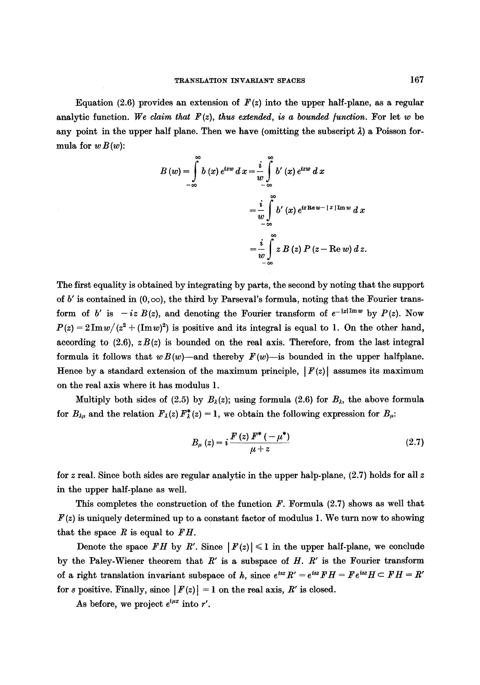Equation (2.6) provides an extension of  $F(z)$  into the upper half-plane, as a regular analytic function. We claim that  $F(z)$ , thus extended, is a bounded function. For let w be any point in the upper half plane. Then we have (omitting the subscript  $\lambda$ ) a Poisson formula for  $wB(w)$ :

$$
B(w) = \int_{-\infty}^{\infty} b(x) e^{ixw} dx = \frac{i}{w} \int_{-\infty}^{\infty} b'(x) e^{ixw} dx
$$
  

$$
= \frac{i}{w} \int_{-\infty}^{\infty} b'(x) e^{ix \operatorname{Re} w - |x| \operatorname{Im} w} dx
$$
  

$$
= \frac{i}{w} \int_{-\infty}^{\infty} z B(z) P(z - \operatorname{Re} w) dz.
$$

The first equality is obtained by integrating by parts, the second by noting that the support of b' is contained in  $(0, \infty)$ , the third by Parseval's formula, noting that the Fourier transform of b' is  $-iz B(z)$ , and denoting the Fourier transform of  $e^{-|z|Im w}$  by  $P(z)$ . Now  $P(z) = 2 \text{Im} w/(z^2 + (\text{Im} w)^2)$  is positive and its integral is equal to 1. On the other hand, according to  $(2.6)$ ,  $zB(z)$  is bounded on the real axis. Therefore, from the last integral formula it follows that  $w B(w)$ —and thereby  $F(w)$ —is bounded in the upper halfplane. Hence by a standard extension of the maximum principle,  $|F(z)|$  assumes its maximum on the real axis where it has modulus 1.

Multiply both sides of (2.5) by  $B<sub>4</sub>(z)$ ; using formula (2.6) for  $B<sub>4</sub>$ , the above formula for  $B_{\lambda\mu}$  and the relation  $F_{\lambda}(z) F_{\lambda}^{*}(z) = 1$ , we obtain the following expression for  $B_{\mu}$ :

$$
B_{\mu}(z) = i \frac{F(z) F^{*}(-\mu^{*})}{\mu + z}
$$
 (2.7)

for z real. Since both sides are regular analytic in the upper halp-plane, (2.7) holds for all z in the upper half-plane as well.

This completes the construction of the function  $F$ . Formula (2.7) shows as well that  $F(z)$  is uniquely determined up to a constant factor of modulus 1. We turn now to showing that the space  $R$  is equal to  $FH$ .

Denote the space FH by R'. Since  $|F(z)| \leq 1$  in the upper half-plane, we conclude by the Paley-Wiener theorem that *R'* is a subspace of *H. R'* is the Fourier transform of a right translation invariant subspace of h, since  $e^{isz}R' = e^{isz}FH = Fe^{isz}H \subset FH = R'$ for s positive. Finally, since  $|F(z)| = 1$  on the real axis, R' is closed.

As before, we project  $e^{i\mu x}$  into r'.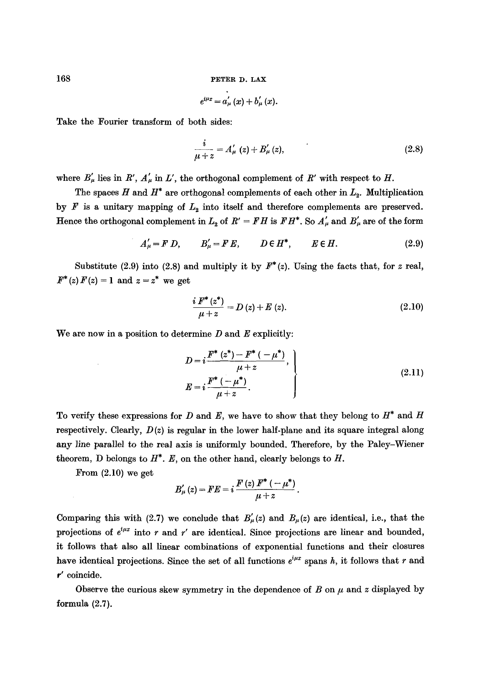$$
e^{i\mu x} = a'_{\mu}(x) + b'_{\mu}(x).
$$

Take the Fourier transform of both sides:

$$
\frac{i}{\mu+z} = A'_{\mu}(z) + B'_{\mu}(z), \tag{2.8}
$$

where  $B'_\mu$  lies in R',  $A'_\mu$  in L', the orthogonal complement of R' with respect to H.

The spaces H and  $H^*$  are orthogonal complements of each other in  $L_2$ . Multiplication by  $F$  is a unitary mapping of  $L_2$  into itself and therefore complements are preserved. Hence the orthogonal complement in  $L_2$  of  $R' = F H$  is  $FH^*$ . So  $A'_\mu$  and  $B'_\mu$  are of the form

$$
A'_{\mu} = F D, \qquad B'_{\mu} = F E, \qquad D \in H^*, \qquad E \in H. \tag{2.9}
$$

Substitute (2.9) into (2.8) and multiply it by  $F^*(z)$ . Using the facts that, for z real,  $F^*(z) F(z) = 1$  and  $z = z^*$  we get

$$
\frac{i F^*(z^*)}{\mu + z} = D(z) + E(z).
$$
 (2.10)

We are now in a position to determine  $D$  and  $E$  explicitly:

$$
D = i \frac{F^* (z^*) - F^* (-\mu^*)}{\mu + z},
$$
  
\n
$$
E = i \frac{F^* (-\mu^*)}{\mu + z}.
$$
 (2.11)

To verify these expressions for  $D$  and  $E$ , we have to show that they belong to  $H^*$  and  $H$ respectively. Clearly,  $D(z)$  is regular in the lower half-plane and its square integral along any line parallel to the real axis is uniformly bounded. Therefore, by the Paley-Wiener theorem, D belongs to  $H^*$ . E, on the other hand, clearly belongs to  $H$ .

From (2.10) we get

$$
B'_{\mu}(z) = FE = i \, \frac{F(z) \, F^* \, (- \, \mu^*)}{\mu + z} \, .
$$

Comparing this with (2.7) we conclude that  $B'_{\mu}(z)$  and  $B_{\mu}(z)$  are identical, i.e., that the projections of  $e^{i\mu x}$  into r and r' are identical. Since projections are linear and bounded, it follows that also all linear combinations of exponential functions and their closures have identical projections. Since the set of all functions  $e^{i\mu x}$  spans h, it follows that r and *r'* coincide.

Observe the curious skew symmetry in the dependence of  $B$  on  $\mu$  and z displayed by formula (2.7).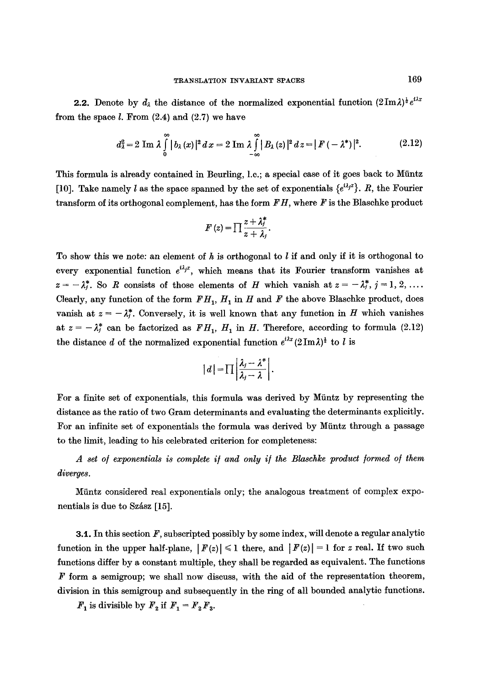**2.2.** Denote by  $d_{\lambda}$  the distance of the normalized exponential function  $(2\text{Im }\lambda)^{\frac{1}{2}}e^{i\lambda x}$ from the space  $l$ . From  $(2.4)$  and  $(2.7)$  we have

$$
d_{\lambda}^{2} = 2 \operatorname{Im} \lambda \int_{0}^{\infty} |b_{\lambda}(x)|^{2} dx = 2 \operatorname{Im} \lambda \int_{-\infty}^{\infty} |B_{\lambda}(z)|^{2} dz = |F(-\lambda^{*})|^{2}.
$$
 (2.12)

This formula is already contained in Beurling, l.c.; a special case of it goes back to Müntz [10]. Take namely l as the space spanned by the set of exponentials  $\{e^{i\lambda_j x}\}\,$ . R, the Fourier transform of its orthogonal complement, has the form  $FH$ , where  $F$  is the Blaschke product

$$
F(z) = \prod \frac{z + \lambda_j^*}{z + \lambda_j}.
$$

To show this we note: an element of  $h$  is orthogonal to  $l$  if and only if it is orthogonal to every exponential function  $e^{i\lambda_j x}$ , which means that its Fourier transform vanishes at  $z = -\lambda_i^*$ . So R consists of those elements of H which vanish at  $z = -\lambda_i^*$ ,  $j = 1, 2, ...$ Clearly, any function of the form  $FH_1$ ,  $H_1$  in  $H$  and  $F$  the above Blaschke product, does vanish at  $z = -\lambda_i^*$ . Conversely, it is well known that any function in H which vanishes at  $z = -\lambda_j^*$  can be factorized as  $FH_1$ ,  $H_1$  in H. Therefore, according to formula (2.12) the distance d of the normalized exponential function  $e^{i\lambda x}(2\text{Im }\lambda)^{\frac{1}{2}}$  to l is

$$
|d| = \prod \left| \frac{\lambda_j - \lambda^*}{\lambda_j - \lambda} \right|.
$$

For a finite set of exponentials, this formula was derived by Miintz by representing the distance as the ratio of two Gram determinants and evaluating the determinants explicitly. For an infinite set of exponentials the formula was derived by Miintz through a passage to the limit, leading to his celebrated criterion for completeness:

*A set o/ exponentials is complete i/ and only i/ the Blaschke product /ormed o/ them diverges.* 

Miintz considered real exponentials only; the analogous treatment of complex exponentials is due to Szász [15].

**3.1.** In this section  $F$ , subscripted possibly by some index, will denote a regular analytic function in the upper half-plane,  $|F(z)| \leq 1$  there, and  $|F(z)| = 1$  for z real. If two such functions differ by a constant multiple, they shall be regarded as equivalent. The functions  $F$  form a semigroup; we shall now discuss, with the aid of the representation theorem, division in this semigroup and subsequently in the ring of all bounded analytic functions.

 $F_1$  is divisible by  $F_2$  if  $F_1 = F_2 F_3$ .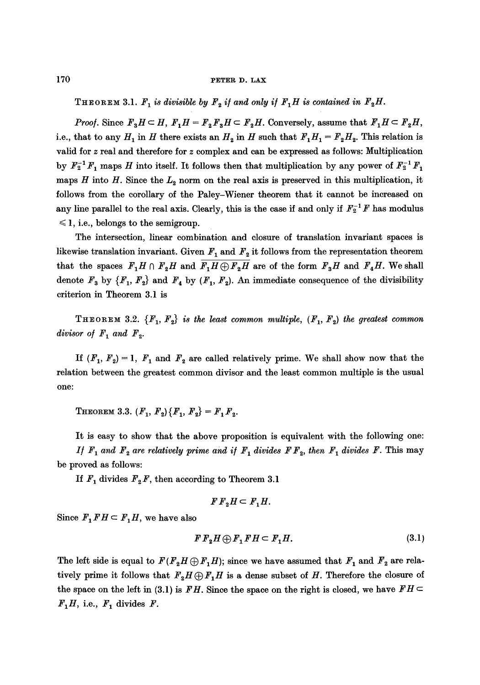THEOREM 3.1.  $F_1$  is divisible by  $F_2$  if and only if  $F_1H$  is contained in  $F_2H$ .

*Proof.* Since  $F_3H \subset H$ ,  $F_1H = F_2F_3H \subset F_2H$ . Conversely, assume that  $F_1H \subset F_2H$ , i.e., that to any  $H_1$  in H there exists an  $H_2$  in H such that  $F_1H_1 = F_2H_2$ . This relation is valid for z real and therefore for z complex and can be expressed as follows: Multiplication by  $F_2^{-1}F_1$  maps H into itself. It follows then that multiplication by any power of  $F_2^{-1}F_1$ maps H into H. Since the  $L_2$  norm on the real axis is preserved in this multiplication, it follows from the corollary of the Paley-Wiener theorem that it cannot be increased on any line parallel to the real axis. Clearly, this is the case if and only if  $F_2^{-1}F$  has modulus  $\leq 1$ , i.e., belongs to the semigroup.

The intersection, linear combination and closure of translation invariant spaces is likewise translation invariant. Given  $F_1$  and  $F_2$  it follows from the representation theorem that the spaces  $F_1H \cap F_2H$  and  $\overline{F_1H \oplus F_2H}$  are of the form  $F_3H$  and  $F_4H$ . We shall denote  $F_3$  by  $\{F_1, F_2\}$  and  $F_4$  by  $(F_1, F_2)$ . An immediate consequence of the divisibility criterion in Theorem 3.1 is

THEOREM 3.2.  $\{F_1, F_2\}$  *is the least common multiple,*  $(F_1, F_2)$  *the greatest common divisor of*  $F_1$  and  $F_2$ .

If  $(F_1, F_2) = 1$ ,  $F_1$  and  $F_2$  are called relatively prime. We shall show now that the relation between the greatest common divisor and the least common multiple is the usual one:

**THEOREM 3.3.**  $(F_1, F_2) \{F_1, F_2\} = F_1 F_2$ .

It is easy to show that the above proposition is equivalent with the following one: *If*  $F_1$  and  $F_2$  are relatively prime and if  $F_1$  divides  $F F_2$ , then  $F_1$  divides  $F$ . This may be proved as follows:

If  $F_1$  divides  $F_2 F$ , then according to Theorem 3.1

$$
F F_2 H \subset F_1 H.
$$

Since  $F_1FH \subset F_1H$ , we have also

$$
F F_2 H \bigoplus F_1 F H \subset F_1 H. \tag{3.1}
$$

The left side is equal to  $F(F_2H \oplus F_1H)$ ; since we have assumed that  $F_1$  and  $F_2$  are relatively prime it follows that  $F_2H\oplus F_1H$  is a dense subset of H. Therefore the closure of the space on the left in (3.1) is *FH*. Since the space on the right is closed, we have  $FH \subseteq$  $F_1H$ , i.e.,  $F_1$  divides  $F$ .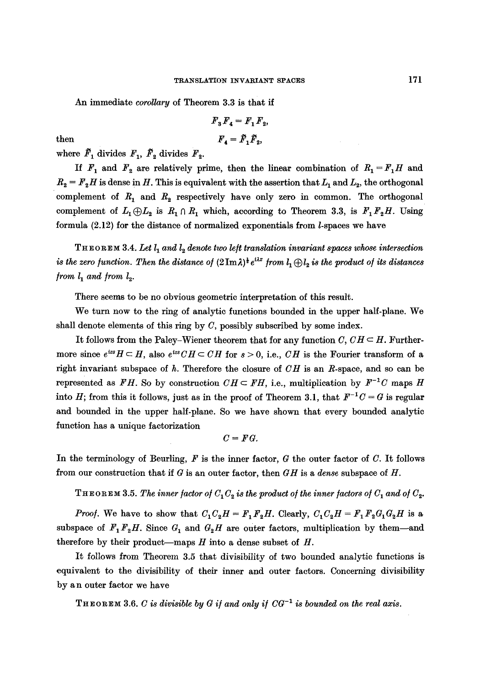An immediate *corollary of* Theorem 3.3 is that if

$$
F_3 F_4 = F_1 F_2,
$$
 then  

$$
F_4 = \tilde{F}_1 \tilde{F}_2,
$$
 where  $\tilde{F}_1$  divides  $F_1$ ,  $\tilde{F}_2$  divides  $F_2$ .

If  $F_1$  and  $F_2$  are relatively prime, then the linear combination of  $R_1 = F_1H$  and  $R_2 = F_2H$  is dense in H. This is equivalent with the assertion that  $L_1$  and  $L_2$ , the orthogonal complement of  $R_1$  and  $R_2$  respectively have only zero in common. The orthogonal complement of  $L_1\oplus L_2$  is  $R_1\cap R_1$  which, according to Theorem 3.3, is  $F_1F_2H$ . Using formula (2.12) for the distance of normalized exponentials from l-spaces we have

THEOREM 3.4. Let  $l_1$  and  $l_2$  denote two left translation invariant spaces whose intersection *is the zero function. Then the distance of*  $(2 \text{Im } \lambda)^{\frac{1}{2}} e^{i\lambda x}$  *from*  $l_1 \oplus l_2$  *is the product of its distances from*  $l_1$  *and from*  $l_2$ *.* 

There seems to be no obvious geometric interpretation of this result.

We turn now to the ring of analytic functions bounded in the upper half-plane. We shall denote elements of this ring by  $C$ , possibly subscribed by some index.

It follows from the Paley-Wiener theorem that for any function  $C, CH \subseteq H$ . Furthermore since  $e^{izs}H \subset H$ , also  $e^{izs}CH \subset CH$  for  $s > 0$ , i.e., *CH* is the Fourier transform of a right invariant subspace of h. Therefore the closure of *CH* is an R-space, and so can be represented as *FH*. So by construction  $CH \subseteq FH$ , i.e., multiplication by  $F^{-1}C$  maps H into H; from this it follows, just as in the proof of Theorem 3.1, that  $F^{-1}C = G$  is regular and bounded in the upper half-plane. So we have shown that every bounded analytic function has a unique factorization

$$
C = \mathbf{F} G.
$$

In the terminology of Beurling,  $F$  is the inner factor,  $G$  the outer factor of  $C$ . It follows from our construction that if G is an outer factor, then *GH* is a *dense* subspace of H.

THEOREM 3.5. The inner factor of  $C_1C_2$  is the product of the inner factors of  $C_1$  and of  $C_2$ .

*Proof.* We have to show that  $C_1C_2H = F_1F_2H$ . Clearly,  $C_1C_2H = F_1F_2G_1G_2H$  is a subspace of  $F_1F_2H$ . Since  $G_1$  and  $G_2H$  are outer factors, multiplication by them--and therefore by their product---maps  $H$  into a dense subset of  $H$ .

It follows from Theorem 3.5 that divisibility of two bounded analytic functions is equivalent to the divisibility of their inner and outer factors. Concerning divisibility by a n outer factor we have

THEOREM 3.6. *C* is divisible by G if and only if  $CG^{-1}$  is bounded on the real axis.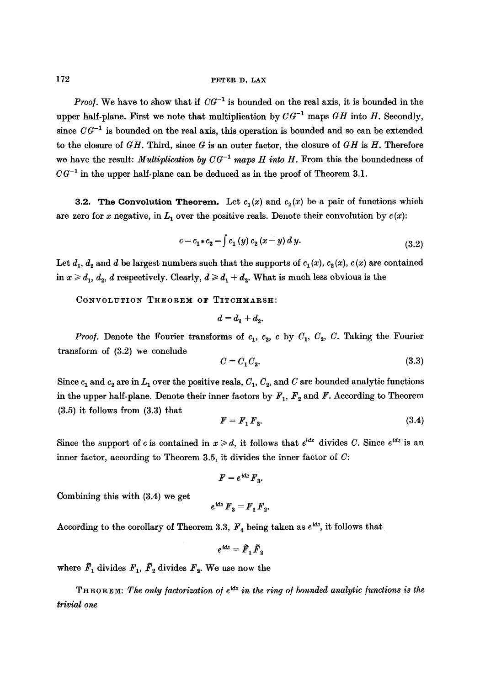*Proof.* We have to show that if  $CG^{-1}$  is bounded on the real axis, it is bounded in the upper half-plane. First we note that multiplication by  $CG^{-1}$  maps  $GH$  into  $H$ . Secondly, since  $CG^{-1}$  is bounded on the real axis, this operation is bounded and so can be extended to the closure of *GH.* Third, since G is an outer factor, the closure of *GH* is H. Therefore we have the result: *Multiplication by*  $CG^{-1}$  *maps H into H.* From this the boundedness of  $CG^{-1}$  in the upper half-plane can be deduced as in the proof of Theorem 3.1.

**3.2. The Convolution Theorem.** Let  $c_1(x)$  and  $c_2(x)$  be a pair of functions which are zero for x negative, in  $L_1$  over the positive reals. Denote their convolution by  $c(x)$ :

$$
c = c_1 * c_2 = \int c_1(y) c_2(x - y) dy.
$$
 (3.2)

Let  $d_1$ ,  $d_2$  and  $d$  be largest numbers such that the supports of  $c_1(x)$ ,  $c_2(x)$ ,  $c(x)$  are contained in  $x \ge d_1, d_2, d$  respectively. Clearly,  $d \ge d_1 + d_2$ . What is much less obvious is the

CONVOLUTION THEOREM OF TITCHMARSH:

$$
d=d_1+d_2.
$$

*Proof.* Denote the Fourier transforms of  $c_1$ ,  $c_2$ ,  $c$  by  $C_1$ ,  $C_2$ ,  $C$ . Taking the Fourier transform of (3.2) we conclude

$$
C = C_1 C_2. \tag{3.3}
$$

Since  $c_1$  and  $c_2$  are in  $L_1$  over the positive reals,  $C_1$ ,  $C_2$ , and C are bounded analytic functions in the upper half-plane. Denote their inner factors by  $F_1$ ,  $F_2$  and  $F$ . According to Theorem (3.5) it follows from (3.3) that

$$
F = F_1 F_2. \tag{3.4}
$$

Since the support of c is contained in  $x \ge d$ , it follows that  $e^{idz}$  divides C. Since  $e^{idz}$  is an inner factor, according to Theorem 3.5, it divides the inner factor of  $C$ :

$$
F=e^{idz}F_{\alpha}.
$$

Combining this with (3.4) we get

$$
e^{idz}F_3 = F_1F_2.
$$

According to the corollary of Theorem 3.3,  $F_4$  being taken as  $e^{idz}$ , it follows that

$$
e^{idz} = \tilde{F}, \tilde{F}_2
$$

where  $\tilde{F}_1$  divides  $F_1$ ,  $\tilde{F}_2$  divides  $F_2$ . We use now the

THEOREM: The only factorization of e<sup>idz</sup> in the ring of bounded analytic functions is the *trivial one*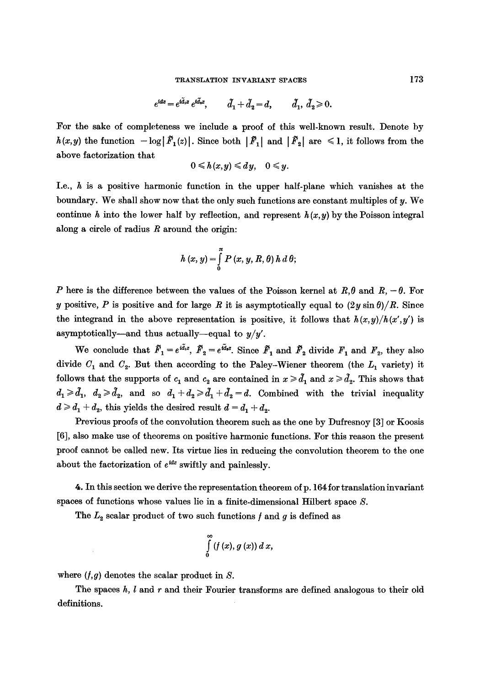$$
e^{idz} = e^{i\tilde{d}_1z} e^{i\tilde{d}_2z}, \qquad \tilde{d}_1 + \tilde{d}_2 = d, \qquad \tilde{d}_1, \ \tilde{d}_2 \geq 0.
$$

For the sake of completeness we include a proof of this well-known result. Denote by  $h(x,y)$  the function  $-\log|\tilde{F}_1(z)|$ . Since both  $|\tilde{F}_1|$  and  $|\tilde{F}_2|$  are  $\leq 1$ , it follows from the above factorization that

$$
0\leqslant h(x,y)\leqslant dy,\quad 0\leqslant y.
$$

I.e.,  $h$  is a positive harmonic function in the upper half-plane which vanishes at the boundary. We shall show now that the only such functions are constant multiples of y. We continue h into the lower half by reflection, and represent  $h(x, y)$  by the Poisson integral along a circle of radius  $R$  around the origin:

$$
h(x, y) = \int_{0}^{x} P(x, y, R, \theta) h d\theta;
$$

P here is the difference between the values of the Poisson kernel at  $R, \theta$  and  $R, -\theta$ . For y positive, P is positive and for large R it is asymptotically equal to  $(2y \sin \theta)/R$ . Since the integrand in the above representation is positive, it follows that  $h(x,y)/h(x',y')$  is asymptotically--and thus actually--equal to *y/y'.* 

We conclude that  $\tilde{F}_1 = e^{i\tilde{d}_{1}z}$ ,  $\tilde{F}_2 = e^{i\tilde{d}_{2}z}$ . Since  $\tilde{F}_1$  and  $\tilde{F}_2$  divide  $F_1$  and  $F_2$ , they also divide  $C_1$  and  $C_2$ . But then according to the Paley-Wiener theorem (the  $L_1$  variety) it follows that the supports of  $c_1$  and  $c_2$  are contained in  $x \ge d_1$  and  $x \ge d_2$ . This shows that  $d_1 \geq d_1, d_2 \geq d_2,$  and so  $d_1 + d_2 \geq d_1 + d_2 = d$ . Combined with the trivial inequality  $d \ge d_1 + d_2$ , this yields the desired result  $d = d_1 + d_2$ .

Previous proofs of the convolution theorem such as the one by Dufresnoy [3] or Koosis [6], also make use of theorems on positive harmonic functions. For this reason the present proof cannot be called new. Its virtue lies in reducing the convolution theorem to the one about the factorization of  $e^{idz}$  swiftly and painlessly.

4. In this section we derive the representation theorem of p. 164 for translation invariant spaces of functions whose values lie in a finite-dimensional Hilbert space  $S$ .

The  $L_2$  scalar product of two such functions  $f$  and  $g$  is defined as

$$
\int\limits_{0}^{\infty}\left( f\left( x\right) ,g\left( x\right) \right) d\,x,
$$

where  $(f, g)$  denotes the scalar product in S.

The spaces  $h, l$  and  $r$  and their Fourier transforms are defined analogous to their old definitions.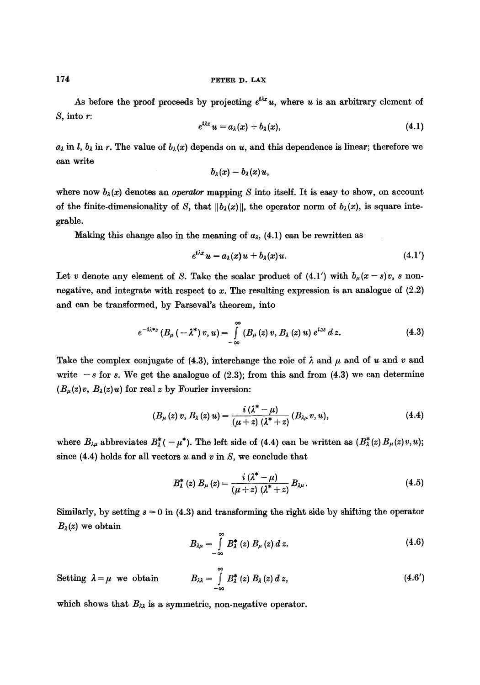As before the proof proceeds by projecting  $e^{i\lambda x}u$ , where u is an arbitrary element of S, into r:

$$
e^{i\lambda x} u = a_{\lambda}(x) + b_{\lambda}(x), \qquad (4.1)
$$

 $a_{\lambda}$  in l,  $b_{\lambda}$  in r. The value of  $b_{\lambda}(x)$  depends on u, and this dependence is linear; therefore we can write

$$
b_\lambda(x)=b_\lambda(x)\,u,
$$

where now  $b_{\lambda}(x)$  denotes an *operator* mapping S into itself. It is easy to show, on account of the finite-dimensionality of S, that  $||b_{\lambda}(x)||$ , the operator norm of  $b_{\lambda}(x)$ , is square integrable.

Making this change also in the meaning of  $a_{\lambda}$ , (4.1) can be rewritten as

$$
e^{i\lambda x} u = a_{\lambda}(x) u + b_{\lambda}(x) u. \qquad (4.1')
$$

Let v denote any element of S. Take the scalar product of  $(4.1')$  with  $b<sub>\mu</sub>(x-s)v$ , s nonnegative, and integrate with respect to x. The resulting expression is an analogue of  $(2.2)$ and can be transformed, by Parseval's theorem, into

$$
e^{-i\lambda^{*} s} (B_{\mu}(-\lambda^{*}) v, u) = \int_{-\infty}^{\infty} (B_{\mu}(z) v, B_{\lambda}(z) u) e^{izs} dz.
$$
 (4.3)

Take the complex conjugate of (4.3), interchange the role of  $\lambda$  and  $\mu$  and of  $u$  and  $v$  and write  $-s$  for s. We get the analogue of (2.3); from this and from (4.3) we can determine  $(B_\mu(z)v, B_\lambda(z)u)$  for real z by Fourier inversion:

$$
(B_{\mu}(z) v, B_{\lambda}(z) u) = \frac{i (\lambda^* - \mu)}{(\mu + z) (\lambda^* + z)} (B_{\lambda \mu} v, u), \qquad (4.4)
$$

where  $B_{\lambda\mu}$  abbreviates  $B_{\lambda}^*(-\mu^*)$ . The left side of (4.4) can be written as  $(B_{\lambda}^*(z)B_{\mu}(z)v,u)$ ; since  $(4.4)$  holds for all vectors u and v in S, we conclude that

$$
B_{\lambda}^{*}(z) B_{\mu}(z) = \frac{i (\lambda^{*} - \mu)}{(\mu + z) (\lambda^{*} + z)} B_{\lambda \mu}.
$$
 (4.5)

Similarly, by setting  $s = 0$  in (4.3) and transforming the right side by shifting the operator  $B_{\lambda}(z)$  we obtain

$$
B_{\lambda\mu}=\int\limits_{-\infty}^{\infty}B_{\lambda}^{*}\left(z\right)B_{\mu}\left(z\right)dz.\tag{4.6}
$$

Setting  $\lambda = \mu$  we obtain  $B_{\lambda\lambda} = \int_{-\infty}^{\infty} B_{\lambda}^{*}(z) B_{\lambda}(z) dz$ , (4.6')

which shows that  $B_{\lambda\lambda}$  is a symmetric, non-negative operator.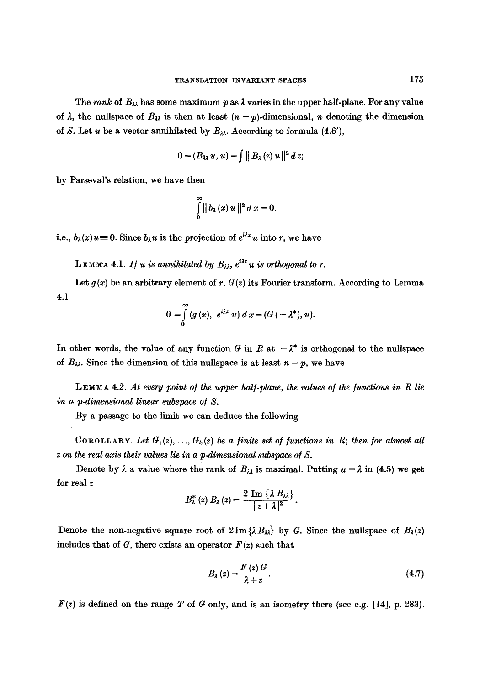The *rank* of  $B_{\lambda\lambda}$  has some maximum p as  $\lambda$  varies in the upper half-plane. For any value of  $\lambda$ , the nullspace of  $B_{\lambda\lambda}$  is then at least  $(n-p)$ -dimensional, n denoting the dimension of S. Let u be a vector annihilated by  $B_{\lambda\lambda}$ . According to formula (4.6'),

$$
0 = (B_{\lambda\lambda} u, u) = \int ||B_{\lambda}(z) u||^2 dz;
$$

by Parseval's relation, we have then

$$
\int_{0}^{\infty} ||b_{\lambda}(x) u||^{2} dx = 0.
$$

i.e.,  $b_{\lambda}(x)u=0$ . Since  $b_{\lambda}u$  is the projection of  $e^{i\lambda x}u$  into r, we have

LEMMA 4.1. *If u is annihilated by B<sub>A1</sub>*,  $e^{i\lambda x}u$  is orthogonal to r.

4.1 Let  $g(x)$  be an arbitrary element of r,  $G(z)$  its Fourier transform. According to Lemma

$$
0=\int\limits_{0}^{\infty}\left(g\left(x\right),\ e^{i\lambda x}\ u\right)dx=(G\left(-\lambda^{\ast}\right),u).
$$

In other words, the value of any function G in R at  $-\lambda^*$  is orthogonal to the nullspace of  $B_{\lambda\lambda}$ . Since the dimension of this nullspace is at least  $n - p$ , we have

LEMMA 4.2. *At every point of the upper half-plane, the values of the functions in R lie in a p.dimensional linear subspace of S.* 

By a passage to the limit we can deduce the following

COROLLARY. Let  $G_1(z), ..., G_k(z)$  be a finite set of functions in R; then for almost all *z* on the real axis their values lie in a p-dimensional subspace of S.

Denote by  $\lambda$  a value where the rank of  $B_{\lambda\lambda}$  is maximal. Putting  $\mu = \lambda$  in (4.5) we get for real z

$$
B_{\lambda}^{*}\left(z\right)B_{\lambda}\left(z\right)=\frac{2\,\mathrm{Im}\left\{\lambda\,B_{\lambda\lambda}\right\}}{\left|z+\lambda\right|^{2}}.
$$

Denote the non-negative square root of  $2 \text{Im } \{\lambda B_{\lambda\}}\$  by G. Since the nullspace of  $B_{\lambda}(z)$ includes that of G, there exists an operator  $F(z)$  such that

$$
B_{\lambda}(z) = \frac{F(z) G}{\lambda + z}.
$$
\n(4.7)

 $F(z)$  is defined on the range T of G only, and is an isometry there (see e.g. [14], p. 283).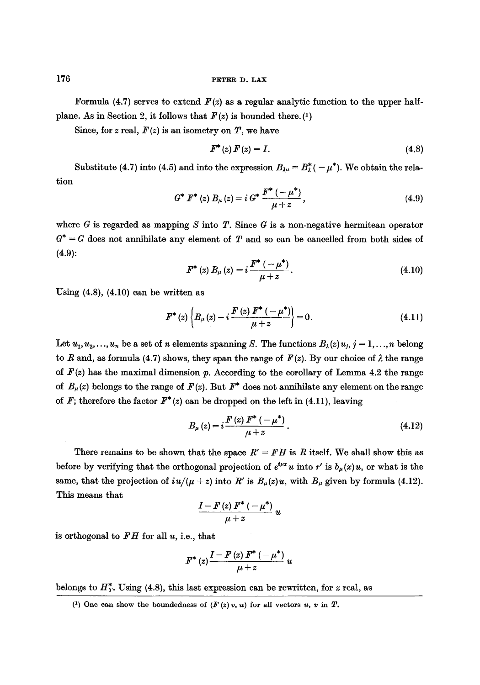Formula (4.7) serves to extend  $F(z)$  as a regular analytic function to the upper halfplane. As in Section 2, it follows that  $F(z)$  is bounded there. (1)

Since, for z real,  $F(z)$  is an isometry on T, we have

$$
F^*(z) \, F(z) = I. \tag{4.8}
$$

Substitute (4.7) into (4.5) and into the expression  $B_{\lambda\mu} = B_{\lambda}^{*}(-\mu^{*})$ . We obtain the relation

$$
G^* \ F^* \ (z) \ B_\mu \ (z) = i \ G^* \ \frac{F^* \ (-\mu^*)}{\mu + z} \,, \tag{4.9}
$$

where G is regarded as mapping S into T. Since G is a non-negative hermitean operator  $G^* = G$  does not annihilate any element of T and so can be cancelled from both sides of (4.9):

$$
F^*(z) B_{\mu}(z) = i \frac{F^* (-\mu^*)}{\mu + z}.
$$
 (4.10)

Using  $(4.8)$ ,  $(4.10)$  can be written as

$$
F^*(z)\left\{B_\mu(z) - i\,\frac{F(z)\,F^*(-\,\mu^*)}{\mu+z}\right\} = 0.\tag{4.11}
$$

Let  $u_1, u_2, \ldots, u_n$  be a set of n elements spanning S. The functions  $B_\lambda(z)u_j$ ,  $j = 1, \ldots, n$  belong to R and, as formula (4.7) shows, they span the range of  $F(z)$ . By our choice of  $\lambda$  the range of  $F(z)$  has the maximal dimension p. According to the corollary of Lemma 4.2 the range of  $B_{\mu}(z)$  belongs to the range of  $F(z)$ . But  $F^*$  does not annihilate any element on the range of  $F$ ; therefore the factor  $F^*(z)$  can be dropped on the left in (4.11), leaving

$$
B_{\mu}(z) = i \frac{F(z) F^* (-\mu^*)}{\mu + z}.
$$
\n(4.12)

There remains to be shown that the space  $R' = FH$  is R itself. We shall show this as before by verifying that the orthogonal projection of  $e^{i\mu x}u$  into r' is  $b_{\mu}(x)u$ , or what is the same, that the projection of  $i\frac{u}{\mu+z}$  into *R'* is  $B_{\mu}(z)u$ , with  $B_{\mu}$  given by formula (4.12). This means that

$$
\frac{I-F\left(z\right)F^{\ast}\left(-\mu^{\ast}\right)}{\mu+z}u
$$

is orthogonal to *FH* for all u, i.e., that

$$
F^*(z) \frac{I - F(z) F^* (-\mu^*)}{\mu + z} u
$$

belongs to  $H^*_T$ . Using (4.8), this last expression can be rewritten, for z real, as

<sup>(1)</sup> One can show the boundedness of  $(F(z) v, u)$  for all vectors  $u, v$  in  $T$ .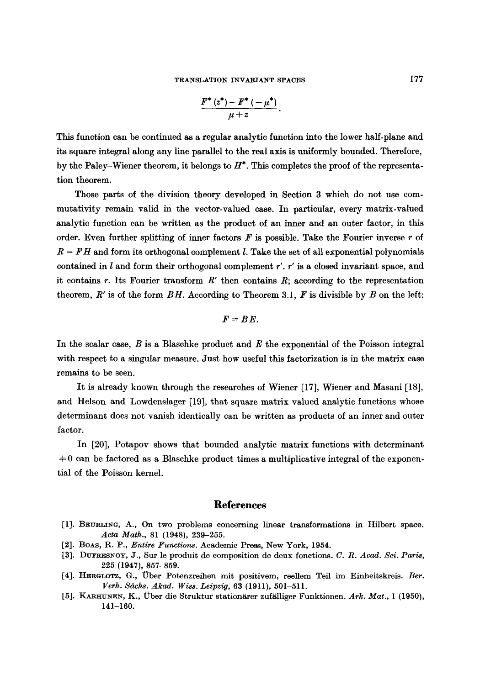$$
\frac{F^*(z^*) - F^*(-\mu^*)}{\mu + z}.
$$

This function can be continued as a regular analytic function into the lower half-plane and its square integral along any line parallel to the real axis is uniformly bounded. Therefore, by the Paley-Wiener theorem, it belongs to  $H^*$ . This completes the proof of the representation theorem.

Those parts of the division theory developed in Section 3 which do not use commutativity remain valid in the vector-valued case. In particular, every matrix-valued analytic function can be written as the product of an inner and an outer factor, in this order. Even further splitting of inner factors  $F$  is possible. Take the Fourier inverse  $r$  of  $R = FH$  and form its orthogonal complement l. Take the set of all exponential polynomials contained in l and form their orthogonal complement *r'. r'* is a closed invariant space, and it contains  $r$ . Its Fourier transform  $R'$  then contains  $R$ ; according to the representation theorem,  $R'$  is of the form  $BH$ . According to Theorem 3.1,  $F$  is divisible by  $B$  on the left:

$$
F=BE
$$

In the scalar case,  $B$  is a Blaschke product and  $E$  the exponential of the Poisson integral with respect to a singular measure. Just how useful this factorization is in the matrix case remains to be seen.

It is already known through the researches of Wiener [17], Wiener and Masani [18], and Helson and Lowdenslager [19], that square matrix valued analytic functions whose determinant does not vanish identically can be written as products of an inner and outer factor.

In [20], Potapov shows that bounded analytic matrix functions with determinant  $\pm 0$  can be factored as a Blaschke product times a multiplicative integral of the exponential of the Poisson kernel.

## **References**

- [1]. BEURLING, A., On two problems concerning linear transformations in Hilbert space. *Acta Math.,* 81 (1948), 239-255.
- [2]. BoAs, R. P., *Entire Functions.* Academic Press, New York, 1954.
- [3]. DUFRESNOY, J., Sur le produit de composition de deux fonctions. *C. R. Acad. Sci. Paris*, 225 (1947), 857-859.
- [4]. HERGLOTZ, G., ~ber Potenzreihen mit positivem, reellem Teil im Einhcitskreis. *Bet. Verh. Sdchs. Akad. Wiss. Leipzig,* 63 (1911), 501-511.
- [5]. KARHUNEN, K., Über die Struktur stationärer zufälliger Funktionen. Ark. Mat., 1 (1950), 141-160.